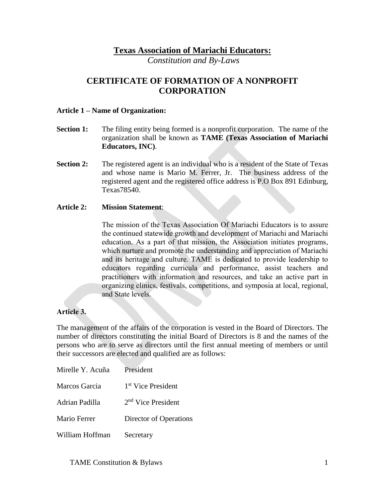### **Texas Association of Mariachi Educators:**

*Constitution and By-Laws*

# **CERTIFICATE OF FORMATION OF A NONPROFIT CORPORATION**

#### **Article 1 – Name of Organization:**

- **Section 1:** The filing entity being formed is a nonprofit corporation. The name of the organization shall be known as **TAME (Texas Association of Mariachi Educators, INC)**.
- **Section 2:** The registered agent is an individual who is a resident of the State of Texas and whose name is Mario M. Ferrer, Jr. The business address of the registered agent and the registered office address is P.O Box 891 Edinburg, Texas78540.

#### **Article 2: Mission Statement**:

The mission of the Texas Association Of Mariachi Educators is to assure the continued statewide growth and development of Mariachi and Mariachi education. As a part of that mission, the Association initiates programs, which nurture and promote the understanding and appreciation of Mariachi and its heritage and culture. TAME is dedicated to provide leadership to educators regarding curricula and performance, assist teachers and practitioners with information and resources, and take an active part in organizing clinics, festivals, competitions, and symposia at local, regional, and State levels.

#### **Article 3.**

The management of the affairs of the corporation is vested in the Board of Directors. The number of directors constituting the initial Board of Directors is 8 and the names of the persons who are to serve as directors until the first annual meeting of members or until their successors are elected and qualified are as follows:

| Mirelle Y. Acuña | President                      |
|------------------|--------------------------------|
| Marcos Garcia    | 1 <sup>st</sup> Vice President |
| Adrian Padilla   | 2 <sup>nd</sup> Vice President |
| Mario Ferrer     | Director of Operations         |
| William Hoffman  | Secretary                      |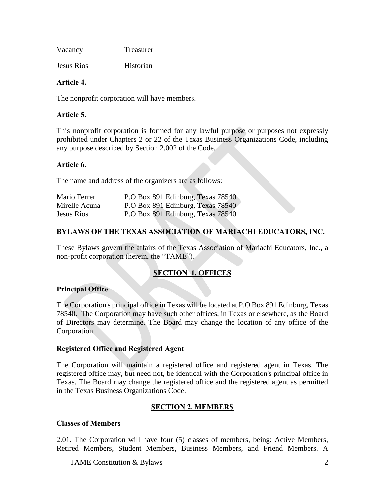| Vacancy | Treasurer |
|---------|-----------|
|---------|-----------|

Jesus Rios Historian

#### **Article 4.**

The nonprofit corporation will have members.

#### **Article 5.**

This nonprofit corporation is formed for any lawful purpose or purposes not expressly prohibited under Chapters 2 or 22 of the Texas Business Organizations Code, including any purpose described by Section 2.002 of the Code.

#### **Article 6.**

The name and address of the organizers are as follows:

| Mario Ferrer      | P.O Box 891 Edinburg, Texas 78540 |
|-------------------|-----------------------------------|
| Mirelle Acuna     | P.O Box 891 Edinburg, Texas 78540 |
| <b>Jesus Rios</b> | P.O Box 891 Edinburg, Texas 78540 |

### **BYLAWS OF THE TEXAS ASSOCIATION OF MARIACHI EDUCATORS, INC.**

These Bylaws govern the affairs of the Texas Association of Mariachi Educators, Inc., a non-profit corporation (herein, the "TAME").

### **SECTION 1. OFFICES**

### **Principal Office**

The Corporation's principal office in Texas will be located at P.O Box 891 Edinburg, Texas 78540. The Corporation may have such other offices, in Texas or elsewhere, as the Board of Directors may determine. The Board may change the location of any office of the Corporation.

#### **Registered Office and Registered Agent**

The Corporation will maintain a registered office and registered agent in Texas. The registered office may, but need not, be identical with the Corporation's principal office in Texas. The Board may change the registered office and the registered agent as permitted in the Texas Business Organizations Code.

### **SECTION 2. MEMBERS**

#### **Classes of Members**

2.01. The Corporation will have four (5) classes of members, being: Active Members, Retired Members, Student Members, Business Members, and Friend Members. A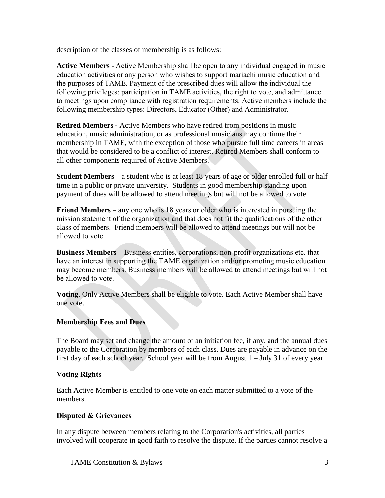description of the classes of membership is as follows:

**Active Members -** Active Membership shall be open to any individual engaged in music education activities or any person who wishes to support mariachi music education and the purposes of TAME. Payment of the prescribed dues will allow the individual the following privileges: participation in TAME activities, the right to vote, and admittance to meetings upon compliance with registration requirements. Active members include the following membership types: Directors, Educator (Other) and Administrator.

**Retired Members -** Active Members who have retired from positions in music education, music administration, or as professional musicians may continue their membership in TAME, with the exception of those who pursue full time careers in areas that would be considered to be a conflict of interest. Retired Members shall conform to all other components required of Active Members.

**Student Members –** a student who is at least 18 years of age or older enrolled full or half time in a public or private university. Students in good membership standing upon payment of dues will be allowed to attend meetings but will not be allowed to vote.

**Friend Members** – any one who is 18 years or older who is interested in pursuing the mission statement of the organization and that does not fit the qualifications of the other class of members. Friend members will be allowed to attend meetings but will not be allowed to vote.

**Business Members** – Business entities, corporations, non-profit organizations etc. that have an interest in supporting the TAME organization and/or promoting music education may become members. Business members will be allowed to attend meetings but will not be allowed to vote.

**Voting**. Only Active Members shall be eligible to vote. Each Active Member shall have one vote.

### **Membership Fees and Dues**

The Board may set and change the amount of an initiation fee, if any, and the annual dues payable to the Corporation by members of each class. Dues are payable in advance on the first day of each school year. School year will be from August 1 – July 31 of every year.

### **Voting Rights**

Each Active Member is entitled to one vote on each matter submitted to a vote of the members.

### **Disputed & Grievances**

In any dispute between members relating to the Corporation's activities, all parties involved will cooperate in good faith to resolve the dispute. If the parties cannot resolve a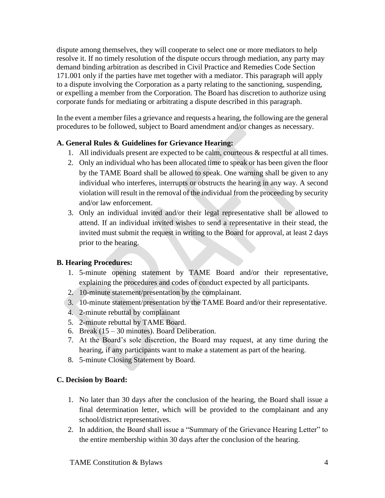dispute among themselves, they will cooperate to select one or more mediators to help resolve it. If no timely resolution of the dispute occurs through mediation, any party may demand binding arbitration as described in Civil Practice and Remedies Code Section 171.001 only if the parties have met together with a mediator. This paragraph will apply to a dispute involving the Corporation as a party relating to the sanctioning, suspending, or expelling a member from the Corporation. The Board has discretion to authorize using corporate funds for mediating or arbitrating a dispute described in this paragraph.

In the event a member files a grievance and requests a hearing, the following are the general procedures to be followed, subject to Board amendment and/or changes as necessary.

### **A. General Rules & Guidelines for Grievance Hearing:**

- 1. All individuals present are expected to be calm, courteous  $\&$  respectful at all times.
- 2. Only an individual who has been allocated time to speak or has been given the floor by the TAME Board shall be allowed to speak. One warning shall be given to any individual who interferes, interrupts or obstructs the hearing in any way. A second violation will result in the removal of the individual from the proceeding by security and/or law enforcement.
- 3. Only an individual invited and/or their legal representative shall be allowed to attend. If an individual invited wishes to send a representative in their stead, the invited must submit the request in writing to the Board for approval, at least 2 days prior to the hearing.

### **B. Hearing Procedures:**

- 1. 5-minute opening statement by TAME Board and/or their representative, explaining the procedures and codes of conduct expected by all participants.
- 2. 10-minute statement/presentation by the complainant.
- 3. 10-minute statement/presentation by the TAME Board and/or their representative.
- 4. 2-minute rebuttal by complainant
- 5. 2-minute rebuttal by TAME Board.
- 6. Break (15 30 minutes). Board Deliberation.
- 7. At the Board's sole discretion, the Board may request, at any time during the hearing, if any participants want to make a statement as part of the hearing.
- 8. 5-minute Closing Statement by Board.

### **C. Decision by Board:**

- 1. No later than 30 days after the conclusion of the hearing, the Board shall issue a final determination letter, which will be provided to the complainant and any school/district representatives.
- 2. In addition, the Board shall issue a "Summary of the Grievance Hearing Letter" to the entire membership within 30 days after the conclusion of the hearing.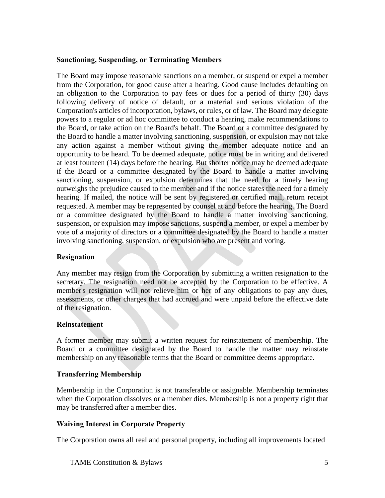#### **Sanctioning, Suspending, or Terminating Members**

The Board may impose reasonable sanctions on a member, or suspend or expel a member from the Corporation, for good cause after a hearing. Good cause includes defaulting on an obligation to the Corporation to pay fees or dues for a period of thirty (30) days following delivery of notice of default, or a material and serious violation of the Corporation's articles of incorporation, bylaws, or rules, or of law. The Board may delegate powers to a regular or ad hoc committee to conduct a hearing, make recommendations to the Board, or take action on the Board's behalf. The Board or a committee designated by the Board to handle a matter involving sanctioning, suspension, or expulsion may not take any action against a member without giving the member adequate notice and an opportunity to be heard. To be deemed adequate, notice must be in writing and delivered at least fourteen (14) days before the hearing. But shorter notice may be deemed adequate if the Board or a committee designated by the Board to handle a matter involving sanctioning, suspension, or expulsion determines that the need for a timely hearing outweighs the prejudice caused to the member and if the notice states the need for a timely hearing. If mailed, the notice will be sent by registered or certified mail, return receipt requested. A member may be represented by counsel at and before the hearing. The Board or a committee designated by the Board to handle a matter involving sanctioning, suspension, or expulsion may impose sanctions, suspend a member, or expel a member by vote of a majority of directors or a committee designated by the Board to handle a matter involving sanctioning, suspension, or expulsion who are present and voting.

### **Resignation**

Any member may resign from the Corporation by submitting a written resignation to the secretary. The resignation need not be accepted by the Corporation to be effective. A member's resignation will not relieve him or her of any obligations to pay any dues, assessments, or other charges that had accrued and were unpaid before the effective date of the resignation.

#### **Reinstatement**

A former member may submit a written request for reinstatement of membership. The Board or a committee designated by the Board to handle the matter may reinstate membership on any reasonable terms that the Board or committee deems appropriate.

#### **Transferring Membership**

Membership in the Corporation is not transferable or assignable. Membership terminates when the Corporation dissolves or a member dies. Membership is not a property right that may be transferred after a member dies.

#### **Waiving Interest in Corporate Property**

The Corporation owns all real and personal property, including all improvements located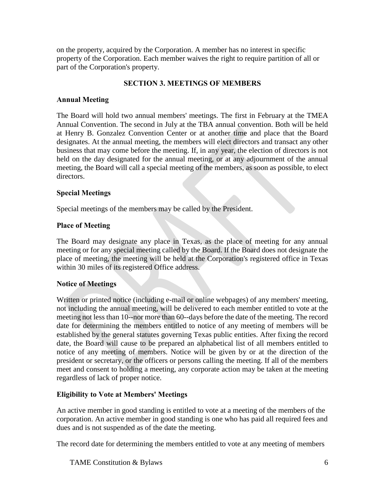on the property, acquired by the Corporation. A member has no interest in specific property of the Corporation. Each member waives the right to require partition of all or part of the Corporation's property.

### **SECTION 3. MEETINGS OF MEMBERS**

#### **Annual Meeting**

The Board will hold two annual members' meetings. The first in February at the TMEA Annual Convention. The second in July at the TBA annual convention. Both will be held at Henry B. Gonzalez Convention Center or at another time and place that the Board designates. At the annual meeting, the members will elect directors and transact any other business that may come before the meeting. If, in any year, the election of directors is not held on the day designated for the annual meeting, or at any adjournment of the annual meeting, the Board will call a special meeting of the members, as soon as possible, to elect directors.

#### **Special Meetings**

Special meetings of the members may be called by the President.

#### **Place of Meeting**

The Board may designate any place in Texas, as the place of meeting for any annual meeting or for any special meeting called by the Board. If the Board does not designate the place of meeting, the meeting will be held at the Corporation's registered office in Texas within 30 miles of its registered Office address.

#### **Notice of Meetings**

Written or printed notice (including e-mail or online webpages) of any members' meeting, not including the annual meeting, will be delivered to each member entitled to vote at the meeting not less than 10--nor more than 60--days before the date of the meeting. The record date for determining the members entitled to notice of any meeting of members will be established by the general statutes governing Texas public entities. After fixing the record date, the Board will cause to be prepared an alphabetical list of all members entitled to notice of any meeting of members. Notice will be given by or at the direction of the president or secretary, or the officers or persons calling the meeting. If all of the members meet and consent to holding a meeting, any corporate action may be taken at the meeting regardless of lack of proper notice.

### **Eligibility to Vote at Members' Meetings**

An active member in good standing is entitled to vote at a meeting of the members of the corporation. An active member in good standing is one who has paid all required fees and dues and is not suspended as of the date the meeting.

The record date for determining the members entitled to vote at any meeting of members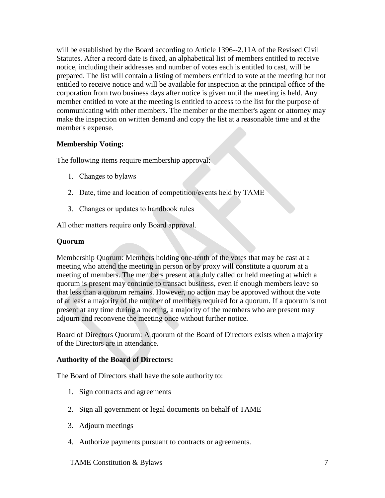will be established by the Board according to Article 1396--2.11A of the Revised Civil Statutes. After a record date is fixed, an alphabetical list of members entitled to receive notice, including their addresses and number of votes each is entitled to cast, will be prepared. The list will contain a listing of members entitled to vote at the meeting but not entitled to receive notice and will be available for inspection at the principal office of the corporation from two business days after notice is given until the meeting is held. Any member entitled to vote at the meeting is entitled to access to the list for the purpose of communicating with other members. The member or the member's agent or attorney may make the inspection on written demand and copy the list at a reasonable time and at the member's expense.

### **Membership Voting:**

The following items require membership approval:

- 1. Changes to bylaws
- 2. Date, time and location of competition/events held by TAME
- 3. Changes or updates to handbook rules

All other matters require only Board approval.

### **Quorum**

Membership Quorum: Members holding one-tenth of the votes that may be cast at a meeting who attend the meeting in person or by proxy will constitute a quorum at a meeting of members. The members present at a duly called or held meeting at which a quorum is present may continue to transact business, even if enough members leave so that less than a quorum remains. However, no action may be approved without the vote of at least a majority of the number of members required for a quorum. If a quorum is not present at any time during a meeting, a majority of the members who are present may adjourn and reconvene the meeting once without further notice.

Board of Directors Quorum: A quorum of the Board of Directors exists when a majority of the Directors are in attendance.

### **Authority of the Board of Directors:**

The Board of Directors shall have the sole authority to:

- 1. Sign contracts and agreements
- 2. Sign all government or legal documents on behalf of TAME
- 3. Adjourn meetings
- 4. Authorize payments pursuant to contracts or agreements.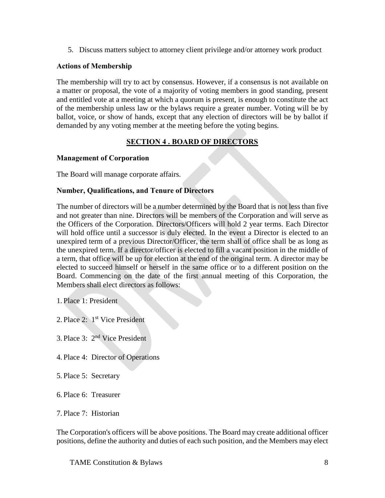5. Discuss matters subject to attorney client privilege and/or attorney work product

#### **Actions of Membership**

The membership will try to act by consensus. However, if a consensus is not available on a matter or proposal, the vote of a majority of voting members in good standing, present and entitled vote at a meeting at which a quorum is present, is enough to constitute the act of the membership unless law or the bylaws require a greater number. Voting will be by ballot, voice, or show of hands, except that any election of directors will be by ballot if demanded by any voting member at the meeting before the voting begins.

### **SECTION 4 . BOARD OF DIRECTORS**

#### **Management of Corporation**

The Board will manage corporate affairs.

#### **Number, Qualifications, and Tenure of Directors**

The number of directors will be a number determined by the Board that is not less than five and not greater than nine. Directors will be members of the Corporation and will serve as the Officers of the Corporation. Directors/Officers will hold 2 year terms. Each Director will hold office until a successor is duly elected. In the event a Director is elected to an unexpired term of a previous Director/Officer, the term shall of office shall be as long as the unexpired term. If a director/officer is elected to fill a vacant position in the middle of a term, that office will be up for election at the end of the original term. A director may be elected to succeed himself or herself in the same office or to a different position on the Board. Commencing on the date of the first annual meeting of this Corporation, the Members shall elect directors as follows:

1. Place 1: President

- 2. Place 2:  $1<sup>st</sup>$  Vice President
- 3. Place 3: 2nd Vice President
- 4. Place 4: Director of Operations
- 5. Place 5: Secretary
- 6. Place 6: Treasurer
- 7. Place 7: Historian

The Corporation's officers will be above positions. The Board may create additional officer positions, define the authority and duties of each such position, and the Members may elect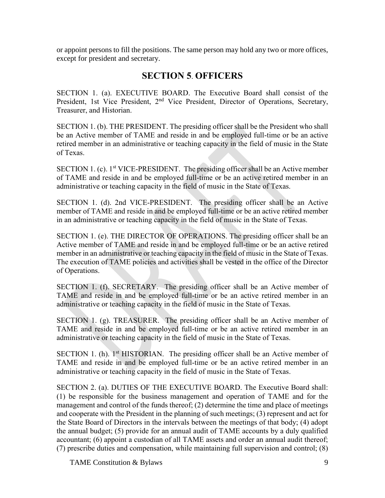or appoint persons to fill the positions. The same person may hold any two or more offices, except for president and secretary.

# **SECTION 5**. **OFFICERS**

SECTION 1. (a). EXECUTIVE BOARD. The Executive Board shall consist of the President, 1st Vice President, 2<sup>nd</sup> Vice President, Director of Operations, Secretary, Treasurer, and Historian.

SECTION 1. (b). THE PRESIDENT. The presiding officer shall be the President who shall be an Active member of TAME and reside in and be employed full-time or be an active retired member in an administrative or teaching capacity in the field of music in the State of Texas.

SECTION 1. (c). 1<sup>st</sup> VICE-PRESIDENT. The presiding officer shall be an Active member of TAME and reside in and be employed full-time or be an active retired member in an administrative or teaching capacity in the field of music in the State of Texas.

SECTION 1. (d). 2nd VICE-PRESIDENT. The presiding officer shall be an Active member of TAME and reside in and be employed full-time or be an active retired member in an administrative or teaching capacity in the field of music in the State of Texas.

SECTION 1. (e). THE DIRECTOR OF OPERATIONS. The presiding officer shall be an Active member of TAME and reside in and be employed full-time or be an active retired member in an administrative or teaching capacity in the field of music in the State of Texas. The execution of TAME policies and activities shall be vested in the office of the Director of Operations.

SECTION 1. (f). SECRETARY. The presiding officer shall be an Active member of TAME and reside in and be employed full-time or be an active retired member in an administrative or teaching capacity in the field of music in the State of Texas.

SECTION 1. (g). TREASURER. The presiding officer shall be an Active member of TAME and reside in and be employed full-time or be an active retired member in an administrative or teaching capacity in the field of music in the State of Texas.

SECTION 1. (h).  $1<sup>st</sup>$  HISTORIAN. The presiding officer shall be an Active member of TAME and reside in and be employed full-time or be an active retired member in an administrative or teaching capacity in the field of music in the State of Texas.

SECTION 2. (a). DUTIES OF THE EXECUTIVE BOARD. The Executive Board shall: (1) be responsible for the business management and operation of TAME and for the management and control of the funds thereof; (2) determine the time and place of meetings and cooperate with the President in the planning of such meetings; (3) represent and act for the State Board of Directors in the intervals between the meetings of that body; (4) adopt the annual budget; (5) provide for an annual audit of TAME accounts by a duly qualified accountant; (6) appoint a custodian of all TAME assets and order an annual audit thereof; (7) prescribe duties and compensation, while maintaining full supervision and control; (8)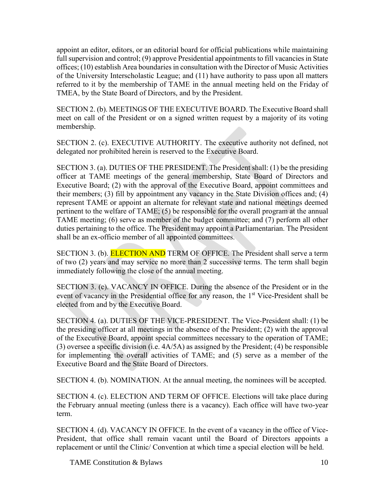appoint an editor, editors, or an editorial board for official publications while maintaining full supervision and control; (9) approve Presidential appointments to fill vacancies in State offices; (10) establish Area boundaries in consultation with the Director of Music Activities of the University Interscholastic League; and (11) have authority to pass upon all matters referred to it by the membership of TAME in the annual meeting held on the Friday of TMEA, by the State Board of Directors, and by the President.

SECTION 2. (b). MEETINGS OF THE EXECUTIVE BOARD. The Executive Board shall meet on call of the President or on a signed written request by a majority of its voting membership.

SECTION 2. (c). EXECUTIVE AUTHORITY. The executive authority not defined, not delegated nor prohibited herein is reserved to the Executive Board.

SECTION 3. (a). DUTIES OF THE PRESIDENT. The President shall: (1) be the presiding officer at TAME meetings of the general membership, State Board of Directors and Executive Board; (2) with the approval of the Executive Board, appoint committees and their members; (3) fill by appointment any vacancy in the State Division offices and; (4) represent TAME or appoint an alternate for relevant state and national meetings deemed pertinent to the welfare of TAME; (5) be responsible for the overall program at the annual TAME meeting; (6) serve as member of the budget committee; and (7) perform all other duties pertaining to the office. The President may appoint a Parliamentarian. The President shall be an ex-officio member of all appointed committees.

SECTION 3. (b). **ELECTION AND** TERM OF OFFICE. The President shall serve a term of two (2) years and may service no more than 2 successive terms. The term shall begin immediately following the close of the annual meeting.

SECTION 3. (c). VACANCY IN OFFICE. During the absence of the President or in the event of vacancy in the Presidential office for any reason, the 1<sup>st</sup> Vice-President shall be elected from and by the Executive Board.

SECTION 4. (a). DUTIES OF THE VICE-PRESIDENT. The Vice-President shall: (1) be the presiding officer at all meetings in the absence of the President; (2) with the approval of the Executive Board, appoint special committees necessary to the operation of TAME; (3) oversee a specific division (i.e. 4A/5A) as assigned by the President; (4) be responsible for implementing the overall activities of TAME; and (5) serve as a member of the Executive Board and the State Board of Directors.

SECTION 4. (b). NOMINATION. At the annual meeting, the nominees will be accepted.

SECTION 4. (c). ELECTION AND TERM OF OFFICE. Elections will take place during the February annual meeting (unless there is a vacancy). Each office will have two-year term.

SECTION 4. (d). VACANCY IN OFFICE. In the event of a vacancy in the office of Vice-President, that office shall remain vacant until the Board of Directors appoints a replacement or until the Clinic/ Convention at which time a special election will be held.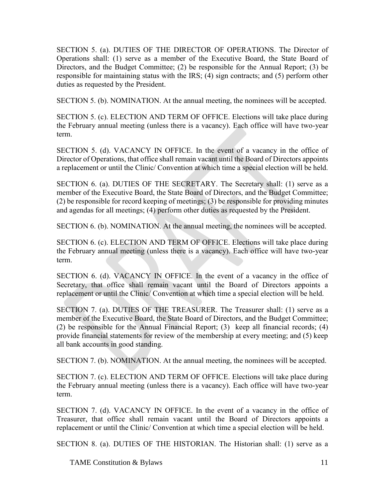SECTION 5. (a). DUTIES OF THE DIRECTOR OF OPERATIONS. The Director of Operations shall: (1) serve as a member of the Executive Board, the State Board of Directors, and the Budget Committee; (2) be responsible for the Annual Report; (3) be responsible for maintaining status with the IRS; (4) sign contracts; and (5) perform other duties as requested by the President.

SECTION 5. (b). NOMINATION. At the annual meeting, the nominees will be accepted.

SECTION 5. (c). ELECTION AND TERM OF OFFICE. Elections will take place during the February annual meeting (unless there is a vacancy). Each office will have two-year term.

SECTION 5. (d). VACANCY IN OFFICE. In the event of a vacancy in the office of Director of Operations, that office shall remain vacant until the Board of Directors appoints a replacement or until the Clinic/ Convention at which time a special election will be held.

SECTION 6. (a). DUTIES OF THE SECRETARY. The Secretary shall: (1) serve as a member of the Executive Board, the State Board of Directors, and the Budget Committee; (2) be responsible for record keeping of meetings; (3) be responsible for providing minutes and agendas for all meetings; (4) perform other duties as requested by the President.

SECTION 6. (b). NOMINATION. At the annual meeting, the nominees will be accepted.

SECTION 6. (c). ELECTION AND TERM OF OFFICE. Elections will take place during the February annual meeting (unless there is a vacancy). Each office will have two-year term.

SECTION 6. (d). VACANCY IN OFFICE. In the event of a vacancy in the office of Secretary, that office shall remain vacant until the Board of Directors appoints a replacement or until the Clinic/ Convention at which time a special election will be held.

SECTION 7. (a). DUTIES OF THE TREASURER. The Treasurer shall: (1) serve as a member of the Executive Board, the State Board of Directors, and the Budget Committee; (2) be responsible for the Annual Financial Report; (3) keep all financial records; (4) provide financial statements for review of the membership at every meeting; and (5) keep all bank accounts in good standing.

SECTION 7. (b). NOMINATION. At the annual meeting, the nominees will be accepted.

SECTION 7. (c). ELECTION AND TERM OF OFFICE. Elections will take place during the February annual meeting (unless there is a vacancy). Each office will have two-year term.

SECTION 7. (d). VACANCY IN OFFICE. In the event of a vacancy in the office of Treasurer, that office shall remain vacant until the Board of Directors appoints a replacement or until the Clinic/ Convention at which time a special election will be held.

SECTION 8. (a). DUTIES OF THE HISTORIAN. The Historian shall: (1) serve as a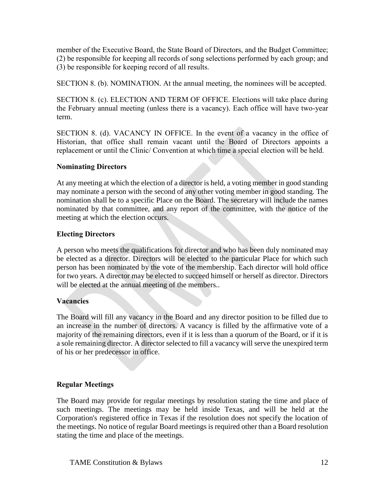member of the Executive Board, the State Board of Directors, and the Budget Committee; (2) be responsible for keeping all records of song selections performed by each group; and (3) be responsible for keeping record of all results.

SECTION 8. (b). NOMINATION. At the annual meeting, the nominees will be accepted.

SECTION 8. (c). ELECTION AND TERM OF OFFICE. Elections will take place during the February annual meeting (unless there is a vacancy). Each office will have two-year term.

SECTION 8. (d). VACANCY IN OFFICE. In the event of a vacancy in the office of Historian, that office shall remain vacant until the Board of Directors appoints a replacement or until the Clinic/ Convention at which time a special election will be held.

### **Nominating Directors**

At any meeting at which the election of a director is held, a voting member in good standing may nominate a person with the second of any other voting member in good standing. The nomination shall be to a specific Place on the Board. The secretary will include the names nominated by that committee, and any report of the committee, with the notice of the meeting at which the election occurs.

# **Electing Directors**

A person who meets the qualifications for director and who has been duly nominated may be elected as a director. Directors will be elected to the particular Place for which such person has been nominated by the vote of the membership. Each director will hold office for two years. A director may be elected to succeed himself or herself as director. Directors will be elected at the annual meeting of the members..

### **Vacancies**

The Board will fill any vacancy in the Board and any director position to be filled due to an increase in the number of directors. A vacancy is filled by the affirmative vote of a majority of the remaining directors, even if it is less than a quorum of the Board, or if it is a sole remaining director. A director selected to fill a vacancy will serve the unexpired term of his or her predecessor in office.

# **Regular Meetings**

The Board may provide for regular meetings by resolution stating the time and place of such meetings. The meetings may be held inside Texas, and will be held at the Corporation's registered office in Texas if the resolution does not specify the location of the meetings. No notice of regular Board meetings is required other than a Board resolution stating the time and place of the meetings.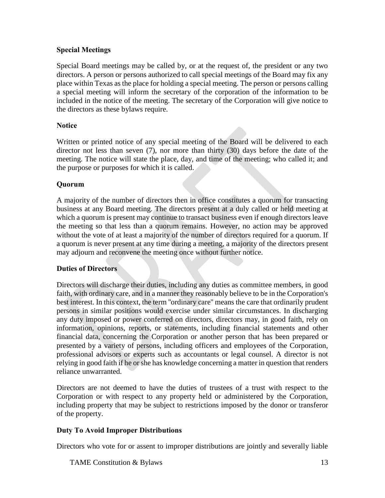### **Special Meetings**

Special Board meetings may be called by, or at the request of, the president or any two directors. A person or persons authorized to call special meetings of the Board may fix any place within Texas as the place for holding a special meeting. The person or persons calling a special meeting will inform the secretary of the corporation of the information to be included in the notice of the meeting. The secretary of the Corporation will give notice to the directors as these bylaws require.

#### **Notice**

Written or printed notice of any special meeting of the Board will be delivered to each director not less than seven (7), nor more than thirty (30) days before the date of the meeting. The notice will state the place, day, and time of the meeting; who called it; and the purpose or purposes for which it is called.

#### **Quorum**

A majority of the number of directors then in office constitutes a quorum for transacting business at any Board meeting. The directors present at a duly called or held meeting at which a quorum is present may continue to transact business even if enough directors leave the meeting so that less than a quorum remains. However, no action may be approved without the vote of at least a majority of the number of directors required for a quorum. If a quorum is never present at any time during a meeting, a majority of the directors present may adjourn and reconvene the meeting once without further notice.

#### **Duties of Directors**

Directors will discharge their duties, including any duties as committee members, in good faith, with ordinary care, and in a manner they reasonably believe to be in the Corporation's best interest. In this context, the term ''ordinary care'' means the care that ordinarily prudent persons in similar positions would exercise under similar circumstances. In discharging any duty imposed or power conferred on directors, directors may, in good faith, rely on information, opinions, reports, or statements, including financial statements and other financial data, concerning the Corporation or another person that has been prepared or presented by a variety of persons, including officers and employees of the Corporation, professional advisors or experts such as accountants or legal counsel. A director is not relying in good faith if he or she has knowledge concerning a matter in question that renders reliance unwarranted.

Directors are not deemed to have the duties of trustees of a trust with respect to the Corporation or with respect to any property held or administered by the Corporation, including property that may be subject to restrictions imposed by the donor or transferor of the property.

#### **Duty To Avoid Improper Distributions**

Directors who vote for or assent to improper distributions are jointly and severally liable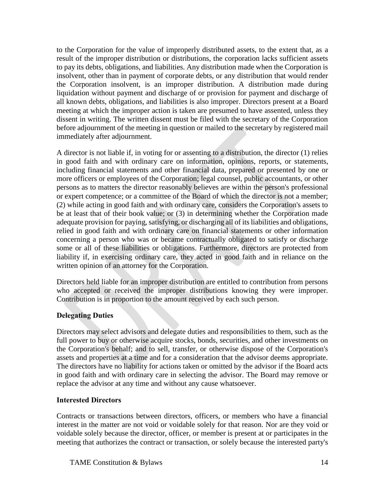to the Corporation for the value of improperly distributed assets, to the extent that, as a result of the improper distribution or distributions, the corporation lacks sufficient assets to pay its debts, obligations, and liabilities. Any distribution made when the Corporation is insolvent, other than in payment of corporate debts, or any distribution that would render the Corporation insolvent, is an improper distribution. A distribution made during liquidation without payment and discharge of or provision for payment and discharge of all known debts, obligations, and liabilities is also improper. Directors present at a Board meeting at which the improper action is taken are presumed to have assented, unless they dissent in writing. The written dissent must be filed with the secretary of the Corporation before adjournment of the meeting in question or mailed to the secretary by registered mail immediately after adjournment.

A director is not liable if, in voting for or assenting to a distribution, the director (1) relies in good faith and with ordinary care on information, opinions, reports, or statements, including financial statements and other financial data, prepared or presented by one or more officers or employees of the Corporation; legal counsel, public accountants, or other persons as to matters the director reasonably believes are within the person's professional or expert competence; or a committee of the Board of which the director is not a member; (2) while acting in good faith and with ordinary care, considers the Corporation's assets to be at least that of their book value; or (3) in determining whether the Corporation made adequate provision for paying, satisfying, or discharging all of its liabilities and obligations, relied in good faith and with ordinary care on financial statements or other information concerning a person who was or became contractually obligated to satisfy or discharge some or all of these liabilities or obligations. Furthermore, directors are protected from liability if, in exercising ordinary care, they acted in good faith and in reliance on the written opinion of an attorney for the Corporation.

Directors held liable for an improper distribution are entitled to contribution from persons who accepted or received the improper distributions knowing they were improper. Contribution is in proportion to the amount received by each such person.

### **Delegating Duties**

Directors may select advisors and delegate duties and responsibilities to them, such as the full power to buy or otherwise acquire stocks, bonds, securities, and other investments on the Corporation's behalf; and to sell, transfer, or otherwise dispose of the Corporation's assets and properties at a time and for a consideration that the advisor deems appropriate. The directors have no liability for actions taken or omitted by the advisor if the Board acts in good faith and with ordinary care in selecting the advisor. The Board may remove or replace the advisor at any time and without any cause whatsoever.

### **Interested Directors**

Contracts or transactions between directors, officers, or members who have a financial interest in the matter are not void or voidable solely for that reason. Nor are they void or voidable solely because the director, officer, or member is present at or participates in the meeting that authorizes the contract or transaction, or solely because the interested party's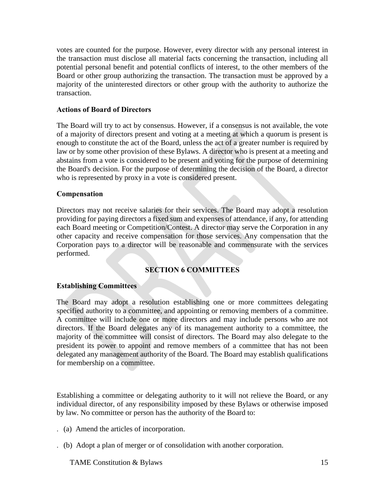votes are counted for the purpose. However, every director with any personal interest in the transaction must disclose all material facts concerning the transaction, including all potential personal benefit and potential conflicts of interest, to the other members of the Board or other group authorizing the transaction. The transaction must be approved by a majority of the uninterested directors or other group with the authority to authorize the transaction.

#### **Actions of Board of Directors**

The Board will try to act by consensus. However, if a consensus is not available, the vote of a majority of directors present and voting at a meeting at which a quorum is present is enough to constitute the act of the Board, unless the act of a greater number is required by law or by some other provision of these Bylaws. A director who is present at a meeting and abstains from a vote is considered to be present and voting for the purpose of determining the Board's decision. For the purpose of determining the decision of the Board, a director who is represented by proxy in a vote is considered present.

#### **Compensation**

Directors may not receive salaries for their services. The Board may adopt a resolution providing for paying directors a fixed sum and expenses of attendance, if any, for attending each Board meeting or Competition/Contest. A director may serve the Corporation in any other capacity and receive compensation for those services. Any compensation that the Corporation pays to a director will be reasonable and commensurate with the services performed.

### **SECTION 6 COMMITTEES**

#### **Establishing Committees**

The Board may adopt a resolution establishing one or more committees delegating specified authority to a committee, and appointing or removing members of a committee. A committee will include one or more directors and may include persons who are not directors. If the Board delegates any of its management authority to a committee, the majority of the committee will consist of directors. The Board may also delegate to the president its power to appoint and remove members of a committee that has not been delegated any management authority of the Board. The Board may establish qualifications for membership on a committee.

Establishing a committee or delegating authority to it will not relieve the Board, or any individual director, of any responsibility imposed by these Bylaws or otherwise imposed by law. No committee or person has the authority of the Board to:

. (a) Amend the articles of incorporation.

. (b) Adopt a plan of merger or of consolidation with another corporation.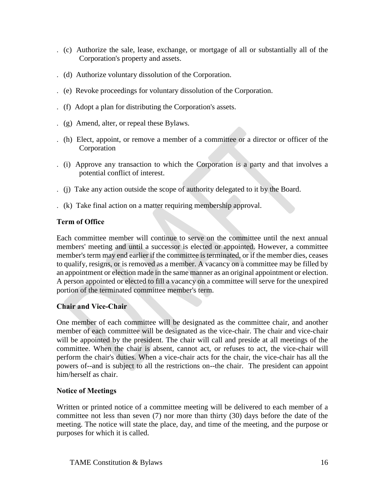- . (c) Authorize the sale, lease, exchange, or mortgage of all or substantially all of the Corporation's property and assets.
- . (d) Authorize voluntary dissolution of the Corporation.
- . (e) Revoke proceedings for voluntary dissolution of the Corporation.
- . (f) Adopt a plan for distributing the Corporation's assets.
- . (g) Amend, alter, or repeal these Bylaws.
- . (h) Elect, appoint, or remove a member of a committee or a director or officer of the Corporation
- . (i) Approve any transaction to which the Corporation is a party and that involves a potential conflict of interest.
- . (j) Take any action outside the scope of authority delegated to it by the Board.
- . (k) Take final action on a matter requiring membership approval.

### **Term of Office**

Each committee member will continue to serve on the committee until the next annual members' meeting and until a successor is elected or appointed. However, a committee member's term may end earlier if the committee is terminated, or if the member dies, ceases to qualify, resigns, or is removed as a member. A vacancy on a committee may be filled by an appointment or election made in the same manner as an original appointment or election. A person appointed or elected to fill a vacancy on a committee will serve for the unexpired portion of the terminated committee member's term.

### **Chair and Vice-Chair**

One member of each committee will be designated as the committee chair, and another member of each committee will be designated as the vice-chair. The chair and vice-chair will be appointed by the president. The chair will call and preside at all meetings of the committee. When the chair is absent, cannot act, or refuses to act, the vice-chair will perform the chair's duties. When a vice-chair acts for the chair, the vice-chair has all the powers of--and is subject to all the restrictions on--the chair. The president can appoint him/herself as chair.

### **Notice of Meetings**

Written or printed notice of a committee meeting will be delivered to each member of a committee not less than seven (7) nor more than thirty (30) days before the date of the meeting. The notice will state the place, day, and time of the meeting, and the purpose or purposes for which it is called.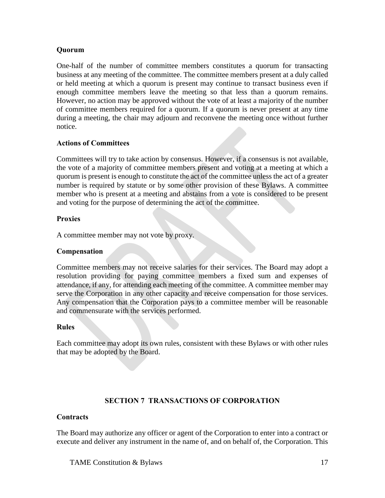### **Quorum**

One-half of the number of committee members constitutes a quorum for transacting business at any meeting of the committee. The committee members present at a duly called or held meeting at which a quorum is present may continue to transact business even if enough committee members leave the meeting so that less than a quorum remains. However, no action may be approved without the vote of at least a majority of the number of committee members required for a quorum. If a quorum is never present at any time during a meeting, the chair may adjourn and reconvene the meeting once without further notice.

### **Actions of Committees**

Committees will try to take action by consensus. However, if a consensus is not available, the vote of a majority of committee members present and voting at a meeting at which a quorum is present is enough to constitute the act of the committee unless the act of a greater number is required by statute or by some other provision of these Bylaws. A committee member who is present at a meeting and abstains from a vote is considered to be present and voting for the purpose of determining the act of the committee.

#### **Proxies**

A committee member may not vote by proxy.

### **Compensation**

Committee members may not receive salaries for their services. The Board may adopt a resolution providing for paying committee members a fixed sum and expenses of attendance, if any, for attending each meeting of the committee. A committee member may serve the Corporation in any other capacity and receive compensation for those services. Any compensation that the Corporation pays to a committee member will be reasonable and commensurate with the services performed.

#### **Rules**

Each committee may adopt its own rules, consistent with these Bylaws or with other rules that may be adopted by the Board.

### **SECTION 7 TRANSACTIONS OF CORPORATION**

#### **Contracts**

The Board may authorize any officer or agent of the Corporation to enter into a contract or execute and deliver any instrument in the name of, and on behalf of, the Corporation. This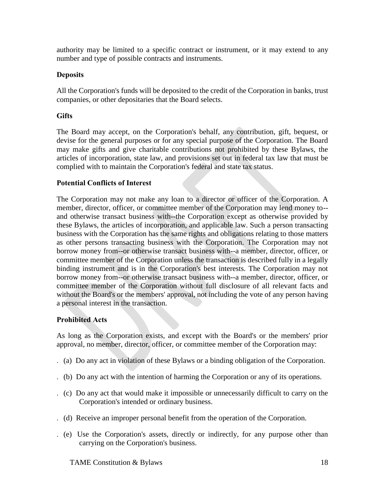authority may be limited to a specific contract or instrument, or it may extend to any number and type of possible contracts and instruments.

### **Deposits**

All the Corporation's funds will be deposited to the credit of the Corporation in banks, trust companies, or other depositaries that the Board selects.

#### **Gifts**

The Board may accept, on the Corporation's behalf, any contribution, gift, bequest, or devise for the general purposes or for any special purpose of the Corporation. The Board may make gifts and give charitable contributions not prohibited by these Bylaws, the articles of incorporation, state law, and provisions set out in federal tax law that must be complied with to maintain the Corporation's federal and state tax status.

#### **Potential Conflicts of Interest**

The Corporation may not make any loan to a director or officer of the Corporation. A member, director, officer, or committee member of the Corporation may lend money to- and otherwise transact business with--the Corporation except as otherwise provided by these Bylaws, the articles of incorporation, and applicable law. Such a person transacting business with the Corporation has the same rights and obligations relating to those matters as other persons transacting business with the Corporation. The Corporation may not borrow money from--or otherwise transact business with--a member, director, officer, or committee member of the Corporation unless the transaction is described fully in a legally binding instrument and is in the Corporation's best interests. The Corporation may not borrow money from--or otherwise transact business with--a member, director, officer, or committee member of the Corporation without full disclosure of all relevant facts and without the Board's or the members' approval, not including the vote of any person having a personal interest in the transaction.

#### **Prohibited Acts**

As long as the Corporation exists, and except with the Board's or the members' prior approval, no member, director, officer, or committee member of the Corporation may:

- . (a) Do any act in violation of these Bylaws or a binding obligation of the Corporation.
- . (b) Do any act with the intention of harming the Corporation or any of its operations.
- . (c) Do any act that would make it impossible or unnecessarily difficult to carry on the Corporation's intended or ordinary business.
- . (d) Receive an improper personal benefit from the operation of the Corporation.
- . (e) Use the Corporation's assets, directly or indirectly, for any purpose other than carrying on the Corporation's business.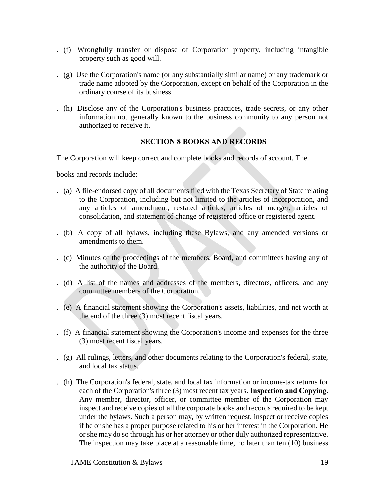- . (f) Wrongfully transfer or dispose of Corporation property, including intangible property such as good will.
- . (g) Use the Corporation's name (or any substantially similar name) or any trademark or trade name adopted by the Corporation, except on behalf of the Corporation in the ordinary course of its business.
- . (h) Disclose any of the Corporation's business practices, trade secrets, or any other information not generally known to the business community to any person not authorized to receive it.

### **SECTION 8 BOOKS AND RECORDS**

The Corporation will keep correct and complete books and records of account. The

books and records include:

- . (a) A file-endorsed copy of all documents filed with the Texas Secretary of State relating to the Corporation, including but not limited to the articles of incorporation, and any articles of amendment, restated articles, articles of merger, articles of consolidation, and statement of change of registered office or registered agent.
- . (b) A copy of all bylaws, including these Bylaws, and any amended versions or amendments to them.
- . (c) Minutes of the proceedings of the members, Board, and committees having any of the authority of the Board.
- . (d) A list of the names and addresses of the members, directors, officers, and any committee members of the Corporation.
- . (e) A financial statement showing the Corporation's assets, liabilities, and net worth at the end of the three (3) most recent fiscal years.
- . (f) A financial statement showing the Corporation's income and expenses for the three (3) most recent fiscal years.
- . (g) All rulings, letters, and other documents relating to the Corporation's federal, state, and local tax status.
- . (h) The Corporation's federal, state, and local tax information or income-tax returns for each of the Corporation's three (3) most recent tax years. **Inspection and Copying.**  Any member, director, officer, or committee member of the Corporation may inspect and receive copies of all the corporate books and records required to be kept under the bylaws. Such a person may, by written request, inspect or receive copies if he or she has a proper purpose related to his or her interest in the Corporation. He or she may do so through his or her attorney or other duly authorized representative. The inspection may take place at a reasonable time, no later than ten (10) business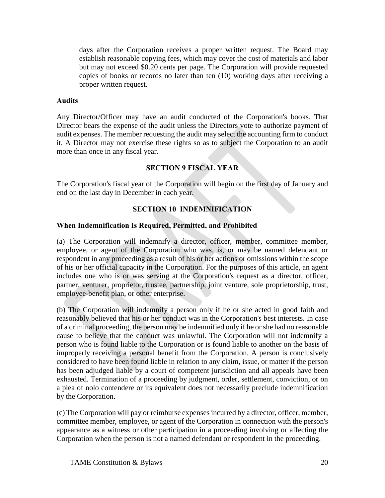days after the Corporation receives a proper written request. The Board may establish reasonable copying fees, which may cover the cost of materials and labor but may not exceed \$0.20 cents per page. The Corporation will provide requested copies of books or records no later than ten (10) working days after receiving a proper written request.

#### **Audits**

Any Director/Officer may have an audit conducted of the Corporation's books. That Director bears the expense of the audit unless the Directors vote to authorize payment of audit expenses. The member requesting the audit may select the accounting firm to conduct it. A Director may not exercise these rights so as to subject the Corporation to an audit more than once in any fiscal year.

### **SECTION 9 FISCAL YEAR**

The Corporation's fiscal year of the Corporation will begin on the first day of January and end on the last day in December in each year.

### **SECTION 10 INDEMNIFICATION**

#### **When Indemnification Is Required, Permitted, and Prohibited**

(a) The Corporation will indemnify a director, officer, member, committee member, employee, or agent of the Corporation who was, is, or may be named defendant or respondent in any proceeding as a result of his or her actions or omissions within the scope of his or her official capacity in the Corporation. For the purposes of this article, an agent includes one who is or was serving at the Corporation's request as a director, officer, partner, venturer, proprietor, trustee, partnership, joint venture, sole proprietorship, trust, employee-benefit plan, or other enterprise.

(b) The Corporation will indemnify a person only if he or she acted in good faith and reasonably believed that his or her conduct was in the Corporation's best interests. In case of a criminal proceeding, the person may be indemnified only if he or she had no reasonable cause to believe that the conduct was unlawful. The Corporation will not indemnify a person who is found liable to the Corporation or is found liable to another on the basis of improperly receiving a personal benefit from the Corporation. A person is conclusively considered to have been found liable in relation to any claim, issue, or matter if the person has been adjudged liable by a court of competent jurisdiction and all appeals have been exhausted. Termination of a proceeding by judgment, order, settlement, conviction, or on a plea of nolo contendere or its equivalent does not necessarily preclude indemnification by the Corporation.

(c) The Corporation will pay or reimburse expenses incurred by a director, officer, member, committee member, employee, or agent of the Corporation in connection with the person's appearance as a witness or other participation in a proceeding involving or affecting the Corporation when the person is not a named defendant or respondent in the proceeding.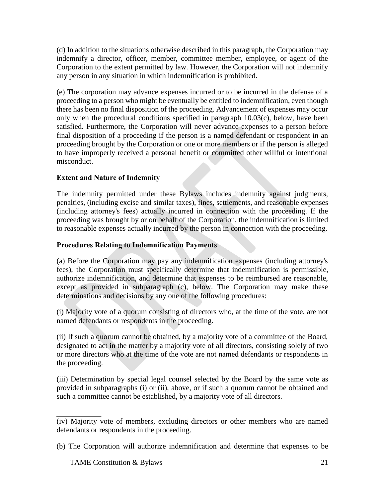(d) In addition to the situations otherwise described in this paragraph, the Corporation may indemnify a director, officer, member, committee member, employee, or agent of the Corporation to the extent permitted by law. However, the Corporation will not indemnify any person in any situation in which indemnification is prohibited.

(e) The corporation may advance expenses incurred or to be incurred in the defense of a proceeding to a person who might be eventually be entitled to indemnification, even though there has been no final disposition of the proceeding. Advancement of expenses may occur only when the procedural conditions specified in paragraph 10.03(c), below, have been satisfied. Furthermore, the Corporation will never advance expenses to a person before final disposition of a proceeding if the person is a named defendant or respondent in an proceeding brought by the Corporation or one or more members or if the person is alleged to have improperly received a personal benefit or committed other willful or intentional misconduct.

# **Extent and Nature of Indemnity**

The indemnity permitted under these Bylaws includes indemnity against judgments, penalties, (including excise and similar taxes), fines, settlements, and reasonable expenses (including attorney's fees) actually incurred in connection with the proceeding. If the proceeding was brought by or on behalf of the Corporation, the indemnification is limited to reasonable expenses actually incurred by the person in connection with the proceeding.

### **Procedures Relating to Indemnification Payments**

(a) Before the Corporation may pay any indemnification expenses (including attorney's fees), the Corporation must specifically determine that indemnification is permissible, authorize indemnification, and determine that expenses to be reimbursed are reasonable, except as provided in subparagraph (c), below. The Corporation may make these determinations and decisions by any one of the following procedures:

(i) Majority vote of a quorum consisting of directors who, at the time of the vote, are not named defendants or respondents in the proceeding.

(ii) If such a quorum cannot be obtained, by a majority vote of a committee of the Board, designated to act in the matter by a majority vote of all directors, consisting solely of two or more directors who at the time of the vote are not named defendants or respondents in the proceeding.

(iii) Determination by special legal counsel selected by the Board by the same vote as provided in subparagraphs (i) or (ii), above, or if such a quorum cannot be obtained and such a committee cannot be established, by a majority vote of all directors.

<sup>(</sup>iv) Majority vote of members, excluding directors or other members who are named defendants or respondents in the proceeding.

<sup>(</sup>b) The Corporation will authorize indemnification and determine that expenses to be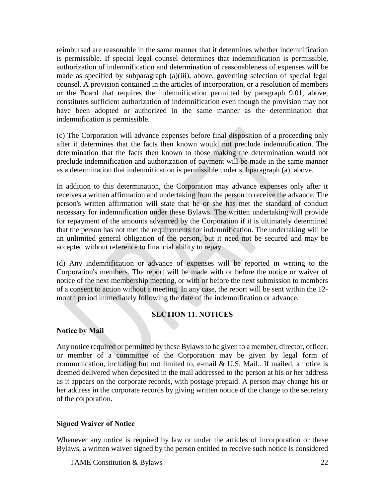reimbursed are reasonable in the same manner that it determines whether indemnification is permissible. If special legal counsel determines that indemnification is permissible, authorization of indemnification and determination of reasonableness of expenses will be made as specified by subparagraph (a)(iii), above, governing selection of special legal counsel. A provision contained in the articles of incorporation, or a resolution of members or the Board that requires the indemnification permitted by paragraph 9.01, above, constitutes sufficient authorization of indemnification even though the provision may not have been adopted or authorized in the same manner as the determination that indemnification is permissible.

(c) The Corporation will advance expenses before final disposition of a proceeding only after it determines that the facts then known would not preclude indemnification. The determination that the facts then known to those making the determination would not preclude indemnification and authorization of payment will be made in the same manner as a determination that indemnification is permissible under subparagraph (a), above.

In addition to this determination, the Corporation may advance expenses only after it receives a written affirmation and undertaking from the person to receive the advance. The person's written affirmation will state that he or she has met the standard of conduct necessary for indemnification under these Bylaws. The written undertaking will provide for repayment of the amounts advanced by the Corporation if it is ultimately determined that the person has not met the requirements for indemnification. The undertaking will be an unlimited general obligation of the person, but it need not be secured and may be accepted without reference to financial ability to repay.

(d) Any indemnification or advance of expenses will be reported in writing to the Corporation's members. The report will be made with or before the notice or waiver of notice of the next membership meeting, or with or before the next submission to members of a consent to action without a meeting. In any case, the report will be sent within the 12 month period immediately following the date of the indemnification or advance.

### **SECTION 11. NOTICES**

### **Notice by Mail**

Any notice required or permitted by these Bylaws to be given to a member, director, officer, or member of a committee of the Corporation may be given by legal form of communication, including but not limited to, e-mail  $& U.S.$  Mail.. If mailed, a notice is deemed delivered when deposited in the mail addressed to the person at his or her address as it appears on the corporate records, with postage prepaid. A person may change his or her address in the corporate records by giving written notice of the change to the secretary of the corporation.

### **Signed Waiver of Notice**

Whenever any notice is required by law or under the articles of incorporation or these Bylaws, a written waiver signed by the person entitled to receive such notice is considered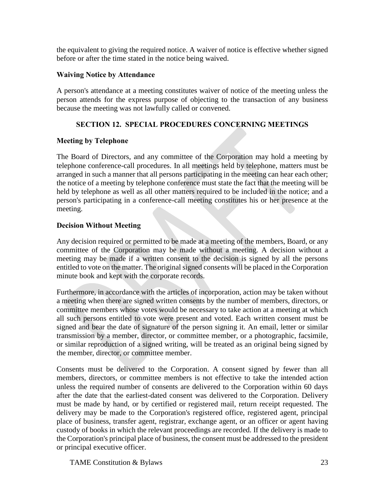the equivalent to giving the required notice. A waiver of notice is effective whether signed before or after the time stated in the notice being waived.

#### **Waiving Notice by Attendance**

A person's attendance at a meeting constitutes waiver of notice of the meeting unless the person attends for the express purpose of objecting to the transaction of any business because the meeting was not lawfully called or convened.

### **SECTION 12. SPECIAL PROCEDURES CONCERNING MEETINGS**

#### **Meeting by Telephone**

The Board of Directors, and any committee of the Corporation may hold a meeting by telephone conference-call procedures. In all meetings held by telephone, matters must be arranged in such a manner that all persons participating in the meeting can hear each other; the notice of a meeting by telephone conference must state the fact that the meeting will be held by telephone as well as all other matters required to be included in the notice; and a person's participating in a conference-call meeting constitutes his or her presence at the meeting.

### **Decision Without Meeting**

Any decision required or permitted to be made at a meeting of the members, Board, or any committee of the Corporation may be made without a meeting. A decision without a meeting may be made if a written consent to the decision is signed by all the persons entitled to vote on the matter. The original signed consents will be placed in the Corporation minute book and kept with the corporate records.

Furthermore, in accordance with the articles of incorporation, action may be taken without a meeting when there are signed written consents by the number of members, directors, or committee members whose votes would be necessary to take action at a meeting at which all such persons entitled to vote were present and voted. Each written consent must be signed and bear the date of signature of the person signing it. An email, letter or similar transmission by a member, director, or committee member, or a photographic, facsimile, or similar reproduction of a signed writing, will be treated as an original being signed by the member, director, or committee member.

Consents must be delivered to the Corporation. A consent signed by fewer than all members, directors, or committee members is not effective to take the intended action unless the required number of consents are delivered to the Corporation within 60 days after the date that the earliest-dated consent was delivered to the Corporation. Delivery must be made by hand, or by certified or registered mail, return receipt requested. The delivery may be made to the Corporation's registered office, registered agent, principal place of business, transfer agent, registrar, exchange agent, or an officer or agent having custody of books in which the relevant proceedings are recorded. If the delivery is made to the Corporation's principal place of business, the consent must be addressed to the president or principal executive officer.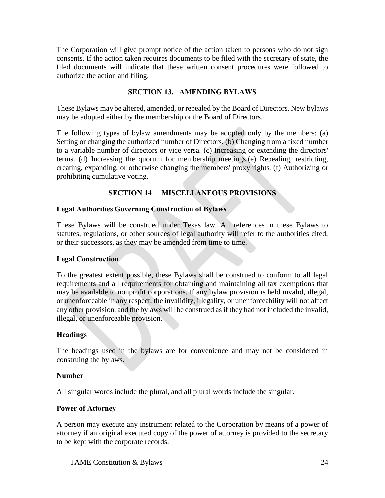The Corporation will give prompt notice of the action taken to persons who do not sign consents. If the action taken requires documents to be filed with the secretary of state, the filed documents will indicate that these written consent procedures were followed to authorize the action and filing.

#### **SECTION 13. AMENDING BYLAWS**

These Bylaws may be altered, amended, or repealed by the Board of Directors. New bylaws may be adopted either by the membership or the Board of Directors.

The following types of bylaw amendments may be adopted only by the members: (a) Setting or changing the authorized number of Directors. (b) Changing from a fixed number to a variable number of directors or vice versa. (c) Increasing or extending the directors' terms. (d) Increasing the quorum for membership meetings.(e) Repealing, restricting, creating, expanding, or otherwise changing the members' proxy rights. (f) Authorizing or prohibiting cumulative voting.

### **SECTION 14 MISCELLANEOUS PROVISIONS**

#### **Legal Authorities Governing Construction of Bylaws**

These Bylaws will be construed under Texas law. All references in these Bylaws to statutes, regulations, or other sources of legal authority will refer to the authorities cited, or their successors, as they may be amended from time to time.

#### **Legal Construction**

To the greatest extent possible, these Bylaws shall be construed to conform to all legal requirements and all requirements for obtaining and maintaining all tax exemptions that may be available to nonprofit corporations. If any bylaw provision is held invalid, illegal, or unenforceable in any respect, the invalidity, illegality, or unenforceability will not affect any other provision, and the bylaws will be construed as if they had not included the invalid, illegal, or unenforceable provision.

#### **Headings**

The headings used in the bylaws are for convenience and may not be considered in construing the bylaws.

#### **Number**

All singular words include the plural, and all plural words include the singular.

#### **Power of Attorney**

A person may execute any instrument related to the Corporation by means of a power of attorney if an original executed copy of the power of attorney is provided to the secretary to be kept with the corporate records.